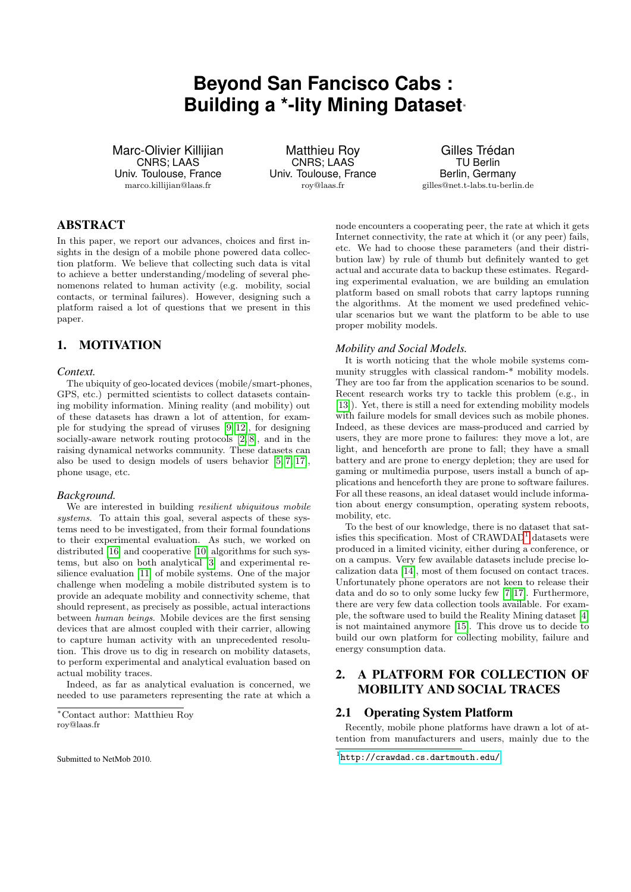# **Beyond San Fancisco Cabs : Building a \*-lity Mining Dataset**<sup>∗</sup>

Marc-Olivier Killijian CNRS; LAAS Univ. Toulouse, France marco.killijian@laas.fr

Matthieu Roy CNRS; LAAS Univ. Toulouse, France roy@laas.fr

Gilles Trédan TU Berlin Berlin, Germany gilles@net.t-labs.tu-berlin.de

# ABSTRACT

In this paper, we report our advances, choices and first insights in the design of a mobile phone powered data collection platform. We believe that collecting such data is vital to achieve a better understanding/modeling of several phenomenons related to human activity (e.g. mobility, social contacts, or terminal failures). However, designing such a platform raised a lot of questions that we present in this paper.

# 1. MOTIVATION

## *Context.*

The ubiquity of geo-located devices (mobile/smart-phones, GPS, etc.) permitted scientists to collect datasets containing mobility information. Mining reality (and mobility) out of these datasets has drawn a lot of attention, for example for studying the spread of viruses [\[9,](#page-3-0) [12\]](#page-3-1), for designing socially-aware network routing protocols [\[2,](#page-3-2) [8\]](#page-3-3), and in the raising dynamical networks community. These datasets can also be used to design models of users behavior [\[5,](#page-3-4) [7,](#page-3-5) [17\]](#page-3-6), phone usage, etc.

## *Background.*

We are interested in building *resilient ubiquitous mobile* systems. To attain this goal, several aspects of these systems need to be investigated, from their formal foundations to their experimental evaluation. As such, we worked on distributed [\[16\]](#page-3-7) and cooperative [\[10\]](#page-3-8) algorithms for such systems, but also on both analytical [\[3\]](#page-3-9) and experimental resilience evaluation [\[11\]](#page-3-10) of mobile systems. One of the major challenge when modeling a mobile distributed system is to provide an adequate mobility and connectivity scheme, that should represent, as precisely as possible, actual interactions between human beings. Mobile devices are the first sensing devices that are almost coupled with their carrier, allowing to capture human activity with an unprecedented resolution. This drove us to dig in research on mobility datasets, to perform experimental and analytical evaluation based on actual mobility traces.

Indeed, as far as analytical evaluation is concerned, we needed to use parameters representing the rate at which a

node encounters a cooperating peer, the rate at which it gets Internet connectivity, the rate at which it (or any peer) fails, etc. We had to choose these parameters (and their distribution law) by rule of thumb but definitely wanted to get actual and accurate data to backup these estimates. Regarding experimental evaluation, we are building an emulation platform based on small robots that carry laptops running the algorithms. At the moment we used predefined vehicular scenarios but we want the platform to be able to use proper mobility models.

### *Mobility and Social Models.*

It is worth noticing that the whole mobile systems community struggles with classical random-\* mobility models. They are too far from the application scenarios to be sound. Recent research works try to tackle this problem (e.g., in [\[13\]](#page-3-11)). Yet, there is still a need for extending mobility models with failure models for small devices such as mobile phones. Indeed, as these devices are mass-produced and carried by users, they are more prone to failures: they move a lot, are light, and henceforth are prone to fall; they have a small battery and are prone to energy depletion; they are used for gaming or multimedia purpose, users install a bunch of applications and henceforth they are prone to software failures. For all these reasons, an ideal dataset would include information about energy consumption, operating system reboots, mobility, etc.

To the best of our knowledge, there is no dataset that satisfies this specification. Most of  $CRAWDAD<sup>1</sup>$  $CRAWDAD<sup>1</sup>$  $CRAWDAD<sup>1</sup>$  datasets were produced in a limited vicinity, either during a conference, or on a campus. Very few available datasets include precise localization data [\[14\]](#page-3-12), most of them focused on contact traces. Unfortunately phone operators are not keen to release their data and do so to only some lucky few [\[7,](#page-3-5) [17\]](#page-3-6). Furthermore, there are very few data collection tools available. For example, the software used to build the Reality Mining dataset [\[4\]](#page-3-13) is not maintained anymore [\[15\]](#page-3-14). This drove us to decide to build our own platform for collecting mobility, failure and energy consumption data.

# 2. A PLATFORM FOR COLLECTION OF MOBILITY AND SOCIAL TRACES

# 2.1 Operating System Platform

Recently, mobile phone platforms have drawn a lot of attention from manufacturers and users, mainly due to the

<sup>∗</sup>Contact author: Matthieu Roy roy@laas.fr

<span id="page-0-0"></span><sup>1</sup> <http://crawdad.cs.dartmouth.edu/>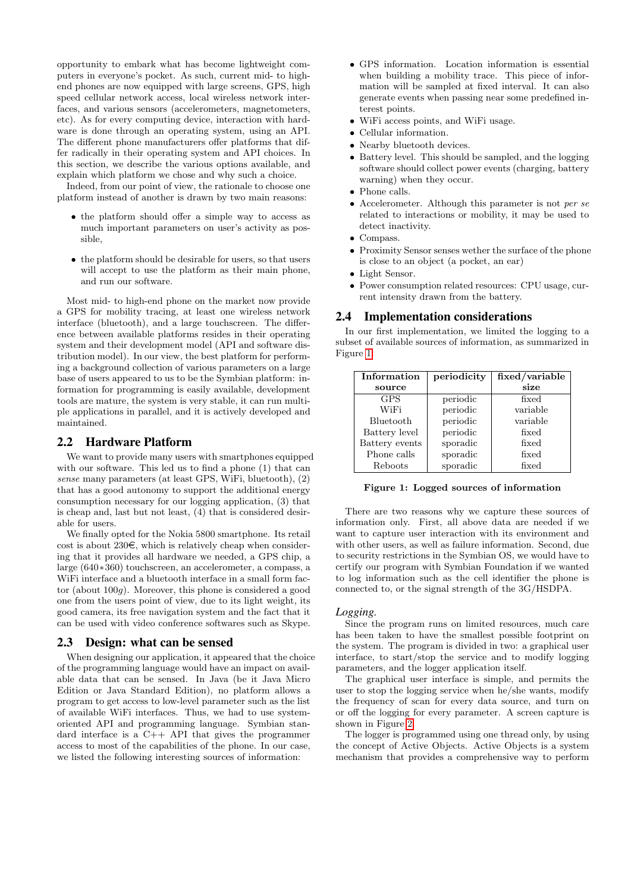opportunity to embark what has become lightweight computers in everyone's pocket. As such, current mid- to highend phones are now equipped with large screens, GPS, high speed cellular network access, local wireless network interfaces, and various sensors (accelerometers, magnetometers, etc). As for every computing device, interaction with hardware is done through an operating system, using an API. The different phone manufacturers offer platforms that differ radically in their operating system and API choices. In this section, we describe the various options available, and explain which platform we chose and why such a choice.

Indeed, from our point of view, the rationale to choose one platform instead of another is drawn by two main reasons:

- the platform should offer a simple way to access as much important parameters on user's activity as possible,
- the platform should be desirable for users, so that users will accept to use the platform as their main phone, and run our software.

Most mid- to high-end phone on the market now provide a GPS for mobility tracing, at least one wireless network interface (bluetooth), and a large touchscreen. The difference between available platforms resides in their operating system and their development model (API and software distribution model). In our view, the best platform for performing a background collection of various parameters on a large base of users appeared to us to be the Symbian platform: information for programming is easily available, development tools are mature, the system is very stable, it can run multiple applications in parallel, and it is actively developed and maintained.

## 2.2 Hardware Platform

We want to provide many users with smartphones equipped with our software. This led us to find a phone (1) that can sense many parameters (at least GPS, WiFi, bluetooth), (2) that has a good autonomy to support the additional energy consumption necessary for our logging application, (3) that is cheap and, last but not least, (4) that is considered desirable for users.

We finally opted for the Nokia 5800 smartphone. Its retail cost is about  $230\epsilon$ , which is relatively cheap when considering that it provides all hardware we needed, a GPS chip, a large (640∗360) touchscreen, an accelerometer, a compass, a WiFi interface and a bluetooth interface in a small form factor (about 100g). Moreover, this phone is considered a good one from the users point of view, due to its light weight, its good camera, its free navigation system and the fact that it can be used with video conference softwares such as Skype.

# 2.3 Design: what can be sensed

When designing our application, it appeared that the choice of the programming language would have an impact on available data that can be sensed. In Java (be it Java Micro Edition or Java Standard Edition), no platform allows a program to get access to low-level parameter such as the list of available WiFi interfaces. Thus, we had to use systemoriented API and programming language. Symbian standard interface is a C++ API that gives the programmer access to most of the capabilities of the phone. In our case, we listed the following interesting sources of information:

- GPS information. Location information is essential when building a mobility trace. This piece of information will be sampled at fixed interval. It can also generate events when passing near some predefined interest points.
- WiFi access points, and WiFi usage.
- Cellular information.
- Nearby bluetooth devices.
- Battery level. This should be sampled, and the logging software should collect power events (charging, battery warning) when they occur.
- Phone calls.
- Accelerometer. Although this parameter is not per se related to interactions or mobility, it may be used to detect inactivity.
- Compass.
- Proximity Sensor senses wether the surface of the phone is close to an object (a pocket, an ear)
- Light Sensor.
- Power consumption related resources: CPU usage, current intensity drawn from the battery.

## 2.4 Implementation considerations

In our first implementation, we limited the logging to a subset of available sources of information, as summarized in Figure [1:](#page-1-0)

| Information    | periodicity | fixed/variable |
|----------------|-------------|----------------|
| source         |             | size           |
| <b>GPS</b>     | periodic    | fixed          |
| WiFi           | periodic    | variable       |
| Bluetooth      | periodic    | variable       |
| Battery level  | periodic    | fixed          |
| Battery events | sporadic    | fixed          |
| Phone calls    | sporadic    | fixed          |
| Reboots        | sporadic    | fixed          |

<span id="page-1-0"></span>Figure 1: Logged sources of information

There are two reasons why we capture these sources of information only. First, all above data are needed if we want to capture user interaction with its environment and with other users, as well as failure information. Second, due to security restrictions in the Symbian OS, we would have to certify our program with Symbian Foundation if we wanted to log information such as the cell identifier the phone is connected to, or the signal strength of the 3G/HSDPA.

#### *Logging.*

Since the program runs on limited resources, much care has been taken to have the smallest possible footprint on the system. The program is divided in two: a graphical user interface, to start/stop the service and to modify logging parameters, and the logger application itself.

The graphical user interface is simple, and permits the user to stop the logging service when he/she wants, modify the frequency of scan for every data source, and turn on or off the logging for every parameter. A screen capture is shown in Figure [2.](#page-2-0)

The logger is programmed using one thread only, by using the concept of Active Objects. Active Objects is a system mechanism that provides a comprehensive way to perform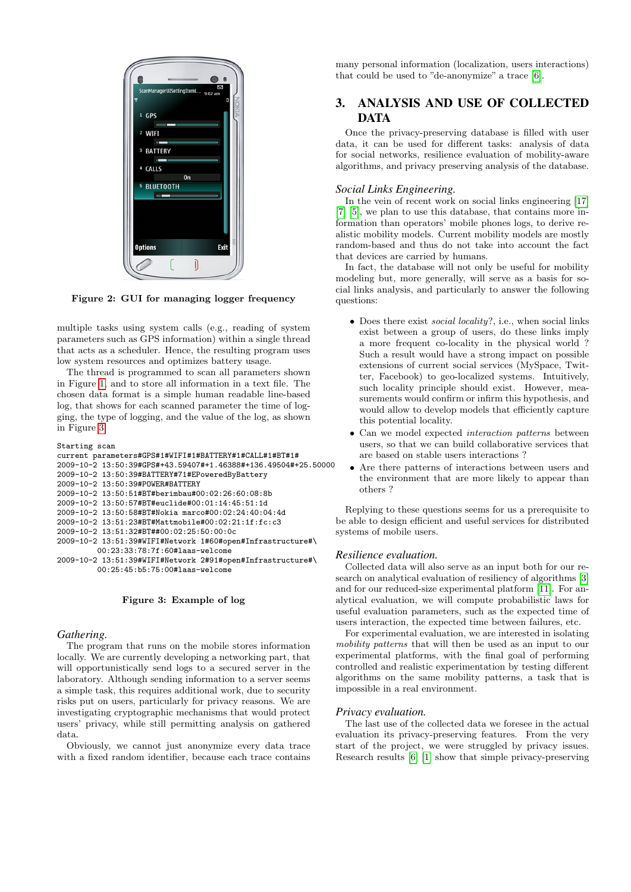

<span id="page-2-0"></span>Figure 2: GUI for managing logger frequency

multiple tasks using system calls (e.g., reading of system parameters such as GPS information) within a single thread that acts as a scheduler. Hence, the resulting program uses low system resources and optimizes battery usage.

The thread is programmed to scan all parameters shown in Figure [1,](#page-1-0) and to store all information in a text file. The chosen data format is a simple human readable line-based log, that shows for each scanned parameter the time of logging, the type of logging, and the value of the log, as shown in Figure [3.](#page-2-1)

```
Starting scan
current parameters#GPS#1#WIFI#1#BATTERY#1#CALL#1#BT#1#
2009-10-2 13:50:39#GPS#+43.59407#+1.46388#+136.49504#+25.50000
2009-10-2 13:50:39#BATTERY#71#EPoweredByBattery
2009-10-2 13:50:39#POWER#BATTERY
2009-10-2 13:50:51#BT#berimbau#00:02:26:60:08:8b
2009-10-2 13:50:57#BT#euclide#00:01:14:45:51:1d
2009-10-2 13:50:58#BT#Nokia marco#00:02:24:40:04:4d
2009-10-2 13:51:23#BT#Mattmobile#00:02:21:1f:fc:c3
2009-10-2 13:51:32#BT##00:02:25:50:00:0c
2009-10-2 13:51:39#WIFI#Network 1#60#open#Infrastructure#\
         00:23:33:78:7f:60#laas-welcome
2009-10-2 13:51:39#WIFI#Network 2#91#open#Infrastructure#\
         00:25:45:b5:75:00#laas-welcome
```
## <span id="page-2-1"></span>Figure 3: Example of log

#### *Gathering.*

The program that runs on the mobile stores information locally. We are currently developing a networking part, that will opportunistically send logs to a secured server in the laboratory. Although sending information to a server seems a simple task, this requires additional work, due to security risks put on users, particularly for privacy reasons. We are investigating cryptographic mechanisms that would protect users' privacy, while still permitting analysis on gathered data.

Obviously, we cannot just anonymize every data trace with a fixed random identifier, because each trace contains many personal information (localization, users interactions) that could be used to "de-anonymize" a trace [\[6\]](#page-3-15).

# 3. ANALYSIS AND USE OF COLLECTED DATA

Once the privacy-preserving database is filled with user data, it can be used for different tasks: analysis of data for social networks, resilience evaluation of mobility-aware algorithms, and privacy preserving analysis of the database.

## *Social Links Engineering.*

In the vein of recent work on social links engineering [\[17\]](#page-3-6) [\[7\]](#page-3-5) [\[5\]](#page-3-4), we plan to use this database, that contains more information than operators' mobile phones logs, to derive realistic mobility models. Current mobility models are mostly random-based and thus do not take into account the fact that devices are carried by humans.

In fact, the database will not only be useful for mobility modeling but, more generally, will serve as a basis for social links analysis, and particularly to answer the following questions:

- Does there exist *social locality*?, i.e., when social links exist between a group of users, do these links imply a more frequent co-locality in the physical world ? Such a result would have a strong impact on possible extensions of current social services (MySpace, Twitter, Facebook) to geo-localized systems. Intuitively, such locality principle should exist. However, measurements would confirm or infirm this hypothesis, and would allow to develop models that efficiently capture this potential locality.
- Can we model expected interaction patterns between users, so that we can build collaborative services that are based on stable users interactions ?
- Are there patterns of interactions between users and the environment that are more likely to appear than others ?

Replying to these questions seems for us a prerequisite to be able to design efficient and useful services for distributed systems of mobile users.

#### *Resilience evaluation.*

Collected data will also serve as an input both for our research on analytical evaluation of resiliency of algorithms [\[3\]](#page-3-9) and for our reduced-size experimental platform [\[11\]](#page-3-10). For analytical evaluation, we will compute probabilistic laws for useful evaluation parameters, such as the expected time of users interaction, the expected time between failures, etc.

For experimental evaluation, we are interested in isolating mobility patterns that will then be used as an input to our experimental platforms, with the final goal of performing controlled and realistic experimentation by testing different algorithms on the same mobility patterns, a task that is impossible in a real environment.

#### *Privacy evaluation.*

The last use of the collected data we foresee in the actual evaluation its privacy-preserving features. From the very start of the project, we were struggled by privacy issues. Research results [\[6\]](#page-3-15) [\[1\]](#page-3-16) show that simple privacy-preserving